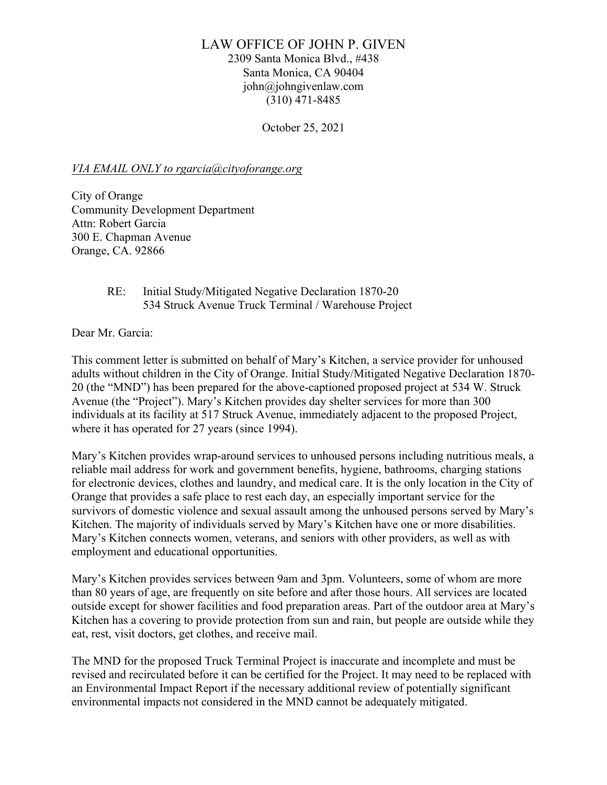# LAW OFFICE OF JOHN P. GIVEN

2309 Santa Monica Blvd., #438 Santa Monica, CA 90404 john@johngivenlaw.com (310) 471-8485

October 25, 2021

### *VIA EMAIL ONLY to rgarcia@cityoforange.org*

City of Orange Community Development Department Attn: Robert Garcia 300 E. Chapman Avenue Orange, CA. 92866

### RE: Initial Study/Mitigated Negative Declaration 1870-20 534 Struck Avenue Truck Terminal / Warehouse Project

Dear Mr. Garcia:

This comment letter is submitted on behalf of Mary's Kitchen, a service provider for unhoused adults without children in the City of Orange. Initial Study/Mitigated Negative Declaration 1870- 20 (the "MND") has been prepared for the above-captioned proposed project at 534 W. Struck Avenue (the "Project"). Mary's Kitchen provides day shelter services for more than 300 individuals at its facility at 517 Struck Avenue, immediately adjacent to the proposed Project, where it has operated for 27 years (since 1994).

Mary's Kitchen provides wrap-around services to unhoused persons including nutritious meals, a reliable mail address for work and government benefits, hygiene, bathrooms, charging stations for electronic devices, clothes and laundry, and medical care. It is the only location in the City of Orange that provides a safe place to rest each day, an especially important service for the survivors of domestic violence and sexual assault among the unhoused persons served by Mary's Kitchen. The majority of individuals served by Mary's Kitchen have one or more disabilities. Mary's Kitchen connects women, veterans, and seniors with other providers, as well as with employment and educational opportunities.

Mary's Kitchen provides services between 9am and 3pm. Volunteers, some of whom are more than 80 years of age, are frequently on site before and after those hours. All services are located outside except for shower facilities and food preparation areas. Part of the outdoor area at Mary's Kitchen has a covering to provide protection from sun and rain, but people are outside while they eat, rest, visit doctors, get clothes, and receive mail.

The MND for the proposed Truck Terminal Project is inaccurate and incomplete and must be revised and recirculated before it can be certified for the Project. It may need to be replaced with an Environmental Impact Report if the necessary additional review of potentially significant environmental impacts not considered in the MND cannot be adequately mitigated.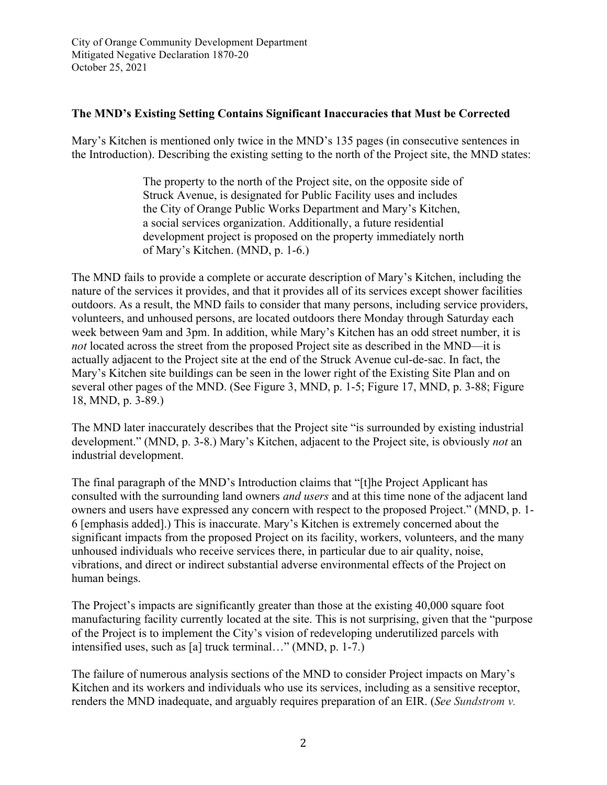### **The MND's Existing Setting Contains Significant Inaccuracies that Must be Corrected**

Mary's Kitchen is mentioned only twice in the MND's 135 pages (in consecutive sentences in the Introduction). Describing the existing setting to the north of the Project site, the MND states:

> The property to the north of the Project site, on the opposite side of Struck Avenue, is designated for Public Facility uses and includes the City of Orange Public Works Department and Mary's Kitchen, a social services organization. Additionally, a future residential development project is proposed on the property immediately north of Mary's Kitchen. (MND, p. 1-6.)

The MND fails to provide a complete or accurate description of Mary's Kitchen, including the nature of the services it provides, and that it provides all of its services except shower facilities outdoors. As a result, the MND fails to consider that many persons, including service providers, volunteers, and unhoused persons, are located outdoors there Monday through Saturday each week between 9am and 3pm. In addition, while Mary's Kitchen has an odd street number, it is *not* located across the street from the proposed Project site as described in the MND—it is actually adjacent to the Project site at the end of the Struck Avenue cul-de-sac. In fact, the Mary's Kitchen site buildings can be seen in the lower right of the Existing Site Plan and on several other pages of the MND. (See Figure 3, MND, p. 1-5; Figure 17, MND, p. 3-88; Figure 18, MND, p. 3-89.)

The MND later inaccurately describes that the Project site "is surrounded by existing industrial development." (MND, p. 3-8.) Mary's Kitchen, adjacent to the Project site, is obviously *not* an industrial development.

The final paragraph of the MND's Introduction claims that "[t]he Project Applicant has consulted with the surrounding land owners *and users* and at this time none of the adjacent land owners and users have expressed any concern with respect to the proposed Project." (MND, p. 1- 6 [emphasis added].) This is inaccurate. Mary's Kitchen is extremely concerned about the significant impacts from the proposed Project on its facility, workers, volunteers, and the many unhoused individuals who receive services there, in particular due to air quality, noise, vibrations, and direct or indirect substantial adverse environmental effects of the Project on human beings.

The Project's impacts are significantly greater than those at the existing 40,000 square foot manufacturing facility currently located at the site. This is not surprising, given that the "purpose of the Project is to implement the City's vision of redeveloping underutilized parcels with intensified uses, such as [a] truck terminal…" (MND, p. 1-7.)

The failure of numerous analysis sections of the MND to consider Project impacts on Mary's Kitchen and its workers and individuals who use its services, including as a sensitive receptor, renders the MND inadequate, and arguably requires preparation of an EIR. (*See Sundstrom v.*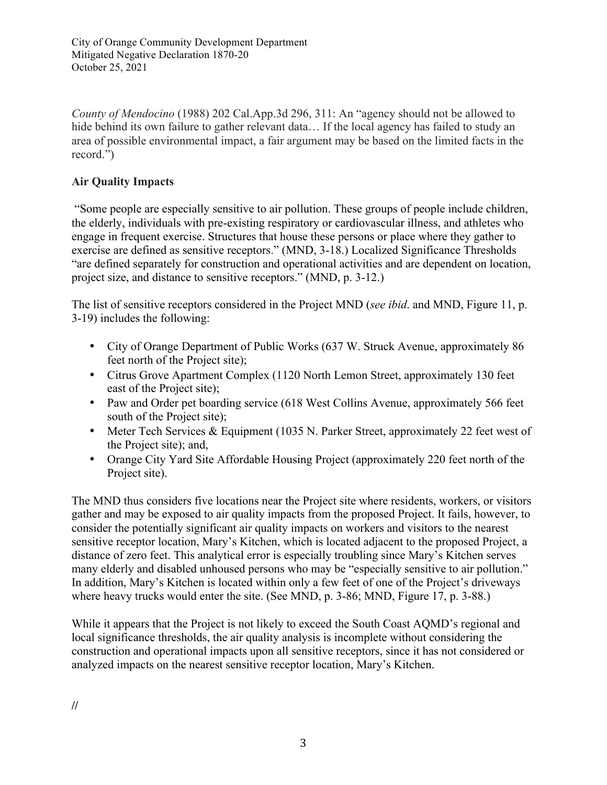*County of Mendocino* (1988) 202 Cal.App.3d 296, 311: An "agency should not be allowed to hide behind its own failure to gather relevant data... If the local agency has failed to study an area of possible environmental impact, a fair argument may be based on the limited facts in the record.")

# **Air Quality Impacts**

"Some people are especially sensitive to air pollution. These groups of people include children, the elderly, individuals with pre-existing respiratory or cardiovascular illness, and athletes who engage in frequent exercise. Structures that house these persons or place where they gather to exercise are defined as sensitive receptors." (MND, 3-18.) Localized Significance Thresholds "are defined separately for construction and operational activities and are dependent on location, project size, and distance to sensitive receptors." (MND, p. 3-12.)

The list of sensitive receptors considered in the Project MND (*see ibid*. and MND, Figure 11, p. 3-19) includes the following:

- City of Orange Department of Public Works (637 W. Struck Avenue, approximately 86 feet north of the Project site);
- Citrus Grove Apartment Complex (1120 North Lemon Street, approximately 130 feet east of the Project site);
- Paw and Order pet boarding service (618 West Collins Avenue, approximately 566 feet south of the Project site);
- Meter Tech Services & Equipment (1035 N. Parker Street, approximately 22 feet west of the Project site); and,
- Orange City Yard Site Affordable Housing Project (approximately 220 feet north of the Project site).

The MND thus considers five locations near the Project site where residents, workers, or visitors gather and may be exposed to air quality impacts from the proposed Project. It fails, however, to consider the potentially significant air quality impacts on workers and visitors to the nearest sensitive receptor location, Mary's Kitchen, which is located adjacent to the proposed Project, a distance of zero feet. This analytical error is especially troubling since Mary's Kitchen serves many elderly and disabled unhoused persons who may be "especially sensitive to air pollution." In addition, Mary's Kitchen is located within only a few feet of one of the Project's driveways where heavy trucks would enter the site. (See MND, p. 3-86; MND, Figure 17, p. 3-88.)

While it appears that the Project is not likely to exceed the South Coast AQMD's regional and local significance thresholds, the air quality analysis is incomplete without considering the construction and operational impacts upon all sensitive receptors, since it has not considered or analyzed impacts on the nearest sensitive receptor location, Mary's Kitchen.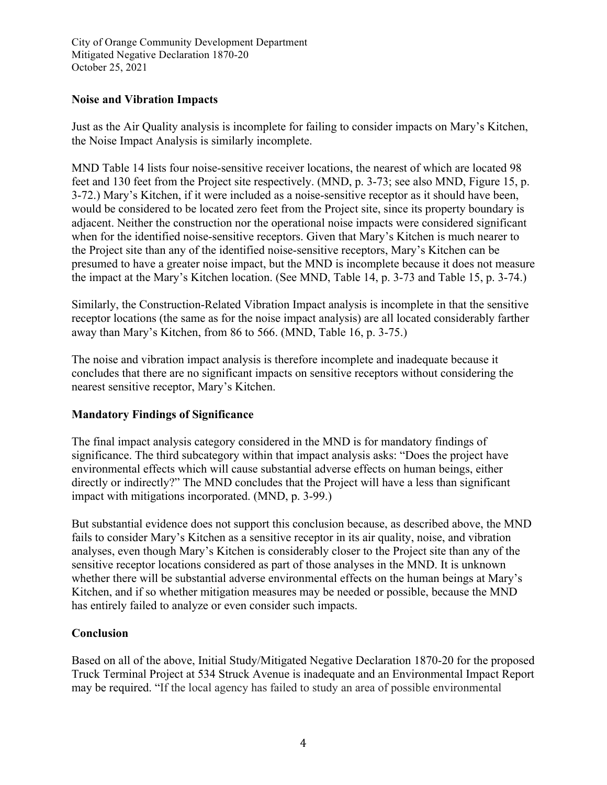City of Orange Community Development Department Mitigated Negative Declaration 1870-20 October 25, 2021

### **Noise and Vibration Impacts**

Just as the Air Quality analysis is incomplete for failing to consider impacts on Mary's Kitchen, the Noise Impact Analysis is similarly incomplete.

MND Table 14 lists four noise-sensitive receiver locations, the nearest of which are located 98 feet and 130 feet from the Project site respectively. (MND, p. 3-73; see also MND, Figure 15, p. 3-72.) Mary's Kitchen, if it were included as a noise-sensitive receptor as it should have been, would be considered to be located zero feet from the Project site, since its property boundary is adjacent. Neither the construction nor the operational noise impacts were considered significant when for the identified noise-sensitive receptors. Given that Mary's Kitchen is much nearer to the Project site than any of the identified noise-sensitive receptors, Mary's Kitchen can be presumed to have a greater noise impact, but the MND is incomplete because it does not measure the impact at the Mary's Kitchen location. (See MND, Table 14, p. 3-73 and Table 15, p. 3-74.)

Similarly, the Construction-Related Vibration Impact analysis is incomplete in that the sensitive receptor locations (the same as for the noise impact analysis) are all located considerably farther away than Mary's Kitchen, from 86 to 566. (MND, Table 16, p. 3-75.)

The noise and vibration impact analysis is therefore incomplete and inadequate because it concludes that there are no significant impacts on sensitive receptors without considering the nearest sensitive receptor, Mary's Kitchen.

# **Mandatory Findings of Significance**

The final impact analysis category considered in the MND is for mandatory findings of significance. The third subcategory within that impact analysis asks: "Does the project have environmental effects which will cause substantial adverse effects on human beings, either directly or indirectly?" The MND concludes that the Project will have a less than significant impact with mitigations incorporated. (MND, p. 3-99.)

But substantial evidence does not support this conclusion because, as described above, the MND fails to consider Mary's Kitchen as a sensitive receptor in its air quality, noise, and vibration analyses, even though Mary's Kitchen is considerably closer to the Project site than any of the sensitive receptor locations considered as part of those analyses in the MND. It is unknown whether there will be substantial adverse environmental effects on the human beings at Mary's Kitchen, and if so whether mitigation measures may be needed or possible, because the MND has entirely failed to analyze or even consider such impacts.

# **Conclusion**

Based on all of the above, Initial Study/Mitigated Negative Declaration 1870-20 for the proposed Truck Terminal Project at 534 Struck Avenue is inadequate and an Environmental Impact Report may be required. "If the local agency has failed to study an area of possible environmental